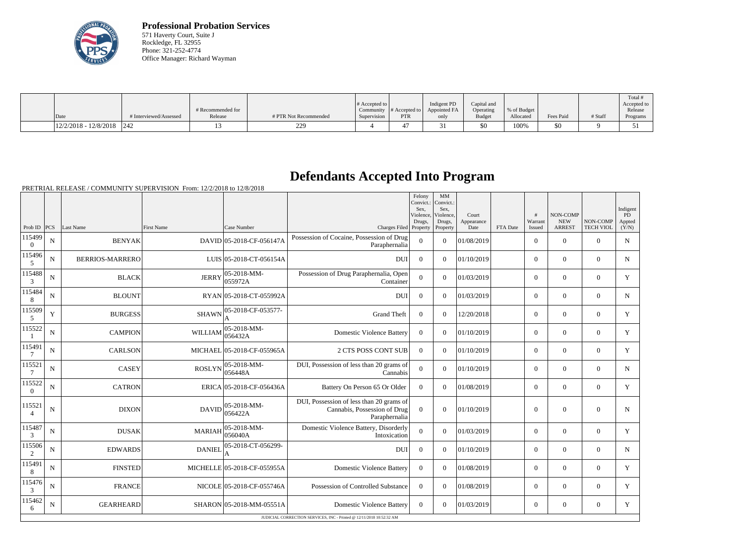

**Professional Probation Services** 571 Haverty Court, Suite J Rockledge, FL 32955 Phone: 321-252-4774 Office Manager: Richard Wayman

| Date                    | # Interviewed/Assessed | # Recommended for<br>Release | # PTR Not Recommended | $\#$ Accepted to<br>Supervision | $\sim$ Community # Accepted to $\sim$<br><b>PTR</b> | Indigent PD<br>Appointed FA | Capital and<br>Operating<br>Budget | % of Budget<br>Allocated | Fees Paid | # Staff | Total<br>Accepted to<br>Release |
|-------------------------|------------------------|------------------------------|-----------------------|---------------------------------|-----------------------------------------------------|-----------------------------|------------------------------------|--------------------------|-----------|---------|---------------------------------|
|                         |                        |                              |                       |                                 |                                                     | only                        |                                    |                          |           |         | Programs                        |
| $12/2/2018 - 12/8/2018$ | 242                    |                              | 229<br>,,,,           |                                 | ⊶                                                   |                             | \$0                                | 100%                     | \$0       |         |                                 |

## **Defendants Accepted Into Program**

PRETRIAL RELEASE / COMMUNITY SUPERVISION From: 12/2/2018 to 12/8/2018

|                          |             |                        |                |                                |                                                                                           | Felony<br>Convict.:<br>Sex,<br>Violence, | MM<br>Convict.:<br>Sex,<br>Violence, | Court              |          | #                 | <b>NON-COMP</b>             |                              | Indigent<br><b>PD</b> |
|--------------------------|-------------|------------------------|----------------|--------------------------------|-------------------------------------------------------------------------------------------|------------------------------------------|--------------------------------------|--------------------|----------|-------------------|-----------------------------|------------------------------|-----------------------|
| Prob ID $ PCS $          |             | Last Name              | First Name     | Case Number                    | Charges Filed Property                                                                    | Drugs.                                   | Drugs,<br>Property                   | Appearance<br>Date | FTA Date | Warrant<br>Issued | <b>NEW</b><br><b>ARREST</b> | NON-COMP<br><b>TECH VIOL</b> | Appted<br>(Y/N)       |
| 115499<br>$\overline{0}$ | $\mathbf N$ | <b>BENYAK</b>          |                | DAVID 05-2018-CF-056147A       | Possession of Cocaine, Possession of Drug<br>Paraphernalia                                | $\overline{0}$                           | $\Omega$                             | 01/08/2019         |          | $\overline{0}$    | $\theta$                    | $\Omega$                     | $\mathbf N$           |
| 115496<br>$\mathfrak{S}$ | ${\bf N}$   | <b>BERRIOS-MARRERO</b> |                | LUIS 05-2018-CT-056154A        | <b>DUI</b>                                                                                | $\Omega$                                 | $\Omega$                             | 01/10/2019         |          | $\overline{0}$    | $\theta$                    | $\Omega$                     | $\mathbf N$           |
| 115488<br>3              | ${\bf N}$   | <b>BLACK</b>           | <b>JERRY</b>   | 05-2018-MM-<br> 055972A        | Possession of Drug Paraphernalia, Open<br>Container                                       | $\overline{0}$                           | $\overline{0}$                       | 01/03/2019         |          | $\overline{0}$    | $\mathbf{0}$                | $\mathbf{0}$                 | Y                     |
| 115484<br>8              | N           | <b>BLOUNT</b>          |                | RYAN 05-2018-CT-055992A        | <b>DU</b>                                                                                 | $\Omega$                                 | $\Omega$                             | 01/03/2019         |          | $\Omega$          | $\Omega$                    | $\Omega$                     | $\mathbf N$           |
| 115509<br>5              | Y           | <b>BURGESS</b>         |                | SHAWN 05-2018-CF-053577-<br>A  | <b>Grand Theft</b>                                                                        | $\boldsymbol{0}$                         | $\Omega$                             | 12/20/2018         |          | $\overline{0}$    | $\overline{0}$              | $\overline{0}$               | Y                     |
| 115522                   | $\mathbf N$ | <b>CAMPION</b>         | <b>WILLIAM</b> | $ 05 - 2018 - MM -$<br>056432A | <b>Domestic Violence Battery</b>                                                          | $\overline{0}$                           | $\Omega$                             | 01/10/2019         |          | $\overline{0}$    | $\boldsymbol{0}$            | $\overline{0}$               | Y                     |
| 115491<br>7              | $\mathbf N$ | <b>CARLSON</b>         |                | MICHAEL 05-2018-CF-055965A     | 2 CTS POSS CONT SUB                                                                       | $\Omega$                                 | $\Omega$                             | 01/10/2019         |          | $\Omega$          | $\theta$                    | $\overline{0}$               | Y                     |
| 115521<br>7              | ${\bf N}$   | <b>CASEY</b>           | <b>ROSLYN</b>  | $ 05-2018-MM-$<br>056448A      | DUI, Possession of less than 20 grams of<br>Cannabis                                      | $\mathbf{0}$                             | $\overline{0}$                       | 01/10/2019         |          | $\overline{0}$    | $\mathbf{0}$                | $\overline{0}$               | $\mathbf N$           |
| 115522<br>$\overline{0}$ | $\mathbf N$ | <b>CATRON</b>          |                | ERICA 05-2018-CF-056436A       | Battery On Person 65 Or Older                                                             | $\overline{0}$                           | $\Omega$                             | 01/08/2019         |          | $\overline{0}$    | $\overline{0}$              | $\overline{0}$               | Y                     |
| 115521<br>$\overline{4}$ | ${\bf N}$   | <b>DIXON</b>           | <b>DAVID</b>   | 05-2018-MM-<br>056422A         | DUI, Possession of less than 20 grams of<br>Cannabis, Possession of Drug<br>Paraphernalia | $\overline{0}$                           | $\Omega$                             | 01/10/2019         |          | $\Omega$          | $\theta$                    | $\Omega$                     | $\mathbf N$           |
| 115487<br>$\mathfrak{Z}$ | ${\bf N}$   | <b>DUSAK</b>           | <b>MARIAH</b>  | $ 05 - 2018 - MM -$<br>056040A | Domestic Violence Battery, Disorderly<br>Intoxication                                     | $\overline{0}$                           | $\overline{0}$                       | 01/03/2019         |          | $\overline{0}$    | $\overline{0}$              | $\overline{0}$               | Y                     |
| 115506<br>2              | N           | <b>EDWARDS</b>         | <b>DANIEL</b>  | 05-2018-CT-056299-<br>A        | DUI                                                                                       | $\theta$                                 | $\Omega$                             | 01/10/2019         |          | $\overline{0}$    | $\theta$                    | $\overline{0}$               | N                     |
| 115491<br>$8\phantom{1}$ | $\mathbf N$ | <b>FINSTED</b>         |                | MICHELLE 05-2018-CF-055955A    | <b>Domestic Violence Battery</b>                                                          | $\Omega$                                 | $\Omega$                             | 01/08/2019         |          | $\overline{0}$    | $\theta$                    | $\Omega$                     | Y                     |
| 115476<br>3              | ${\bf N}$   | <b>FRANCE</b>          |                | NICOLE 05-2018-CF-055746A      | Possession of Controlled Substance                                                        | $\mathbf{0}$                             | $\Omega$                             | 01/08/2019         |          | $\overline{0}$    | $\theta$                    | $\overline{0}$               | Y                     |
| 115462<br>6              | N           | <b>GEARHEARD</b>       |                | SHARON 05-2018-MM-05551A       | Domestic Violence Battery                                                                 | $\boldsymbol{0}$                         | $\Omega$                             | 01/03/2019         |          | $\overline{0}$    | $\boldsymbol{0}$            | $\overline{0}$               | Y                     |
|                          |             |                        |                |                                | JUDICIAL CORRECTION SERVICES, INC - Printed @ 12/11/2018 10:52:32 AM                      |                                          |                                      |                    |          |                   |                             |                              |                       |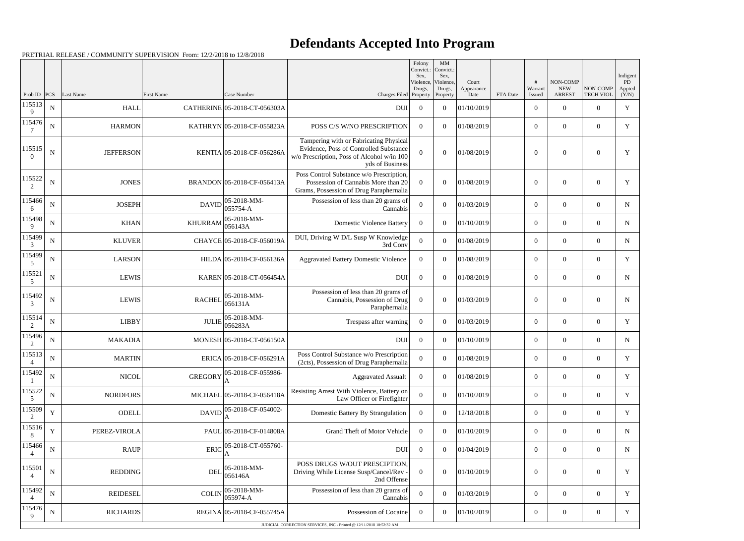## **Defendants Accepted Into Program**

PRETRIAL RELEASE / COMMUNITY SUPERVISION From: 12/2/2018 to 12/8/2018

|                          |             |                  |                |                                  |                                                                                                                                                   | Felony<br>Convict.:<br>Sex. | MM<br>Convict.:<br>Sex,         |                             |          |                   |                                         |                              | Indigent              |
|--------------------------|-------------|------------------|----------------|----------------------------------|---------------------------------------------------------------------------------------------------------------------------------------------------|-----------------------------|---------------------------------|-----------------------------|----------|-------------------|-----------------------------------------|------------------------------|-----------------------|
| Prob ID                  | PCS         | Last Name        | First Name     | Case Number                      | Charges Filed Property                                                                                                                            | Violence,<br>Drugs,         | Violence,<br>Drugs,<br>Property | Court<br>Appearance<br>Date | FTA Date | Warrant<br>Issued | NON-COMP<br><b>NEW</b><br><b>ARREST</b> | NON-COMP<br><b>TECH VIOL</b> | PD<br>Appted<br>(Y/N) |
| 115513<br>9              | ${\bf N}$   | <b>HALL</b>      |                | CATHERINE 05-2018-CT-056303A     | <b>DUI</b>                                                                                                                                        | $\overline{0}$              | $\theta$                        | 01/10/2019                  |          | $\overline{0}$    | $\theta$                                | $\overline{0}$               | $\mathbf Y$           |
| 115476                   | N           | <b>HARMON</b>    |                | KATHRYN 05-2018-CF-055823A       | POSS C/S W/NO PRESCRIPTION                                                                                                                        | $\Omega$                    | $\Omega$                        | 01/08/2019                  |          | $\boldsymbol{0}$  | $\overline{0}$                          | $\overline{0}$               | Y                     |
| 115515<br>$\Omega$       | ${\bf N}$   | <b>JEFFERSON</b> |                | KENTIA 05-2018-CF-056286A        | Tampering with or Fabricating Physical<br>Evidence, Poss of Controlled Substance<br>w/o Prescription, Poss of Alcohol w/in 100<br>yds of Business | $\Omega$                    | $\theta$                        | 01/08/2019                  |          | $\Omega$          | $\theta$                                | $\overline{0}$               | Y                     |
| 115522<br>$\overline{2}$ | N           | <b>JONES</b>     |                | BRANDON 05-2018-CF-056413A       | Poss Control Substance w/o Prescription,<br>Possession of Cannabis More than 20<br>Grams, Possession of Drug Paraphernalia                        | $\theta$                    | $\theta$                        | 01/08/2019                  |          | $\overline{0}$    | $\Omega$                                | $\overline{0}$               | Y                     |
| 115466<br>6              | $\mathbf N$ | <b>JOSEPH</b>    | <b>DAVID</b>   | 05-2018-MM-<br>055754-A          | Possession of less than 20 grams of<br>Cannabis                                                                                                   | $\theta$                    | $\theta$                        | 01/03/2019                  |          | $\boldsymbol{0}$  | $\theta$                                | $\overline{0}$               | ${\bf N}$             |
| 115498<br>$\mathbf Q$    | ${\bf N}$   | <b>KHAN</b>      | <b>KHURRAM</b> | $ 05-2018-MM-$<br>056143A        | <b>Domestic Violence Battery</b>                                                                                                                  | $\Omega$                    | $\theta$                        | 01/10/2019                  |          | $\overline{0}$    | $\theta$                                | $\overline{0}$               | $\mathbf N$           |
| 115499<br>3              | $\mathbf N$ | <b>KLUVER</b>    |                | CHAYCE 05-2018-CF-056019A        | DUI, Driving W D/L Susp W Knowledge<br>3rd Conv                                                                                                   | $\overline{0}$              | $\theta$                        | 01/08/2019                  |          | $\boldsymbol{0}$  | $\overline{0}$                          | $\overline{0}$               | ${\bf N}$             |
| 115499                   | ${\bf N}$   | <b>LARSON</b>    |                | HILDA 05-2018-CF-056136A         | <b>Aggravated Battery Domestic Violence</b>                                                                                                       | $\theta$                    | $\theta$                        | 01/08/2019                  |          | $\boldsymbol{0}$  | $\overline{0}$                          | $\mathbf{0}$                 | Y                     |
| 115521<br>5              | $\mathbf N$ | <b>LEWIS</b>     |                | KAREN 05-2018-CT-056454A         | <b>DUI</b>                                                                                                                                        | $\overline{0}$              | $\theta$                        | 01/08/2019                  |          | $\boldsymbol{0}$  | $\theta$                                | $\overline{0}$               | $\mathbf N$           |
| 115492<br>3              | ${\bf N}$   | <b>LEWIS</b>     | <b>RACHEL</b>  | 05-2018-MM-<br>056131A           | Possession of less than 20 grams of<br>Cannabis, Possession of Drug<br>Paraphernalia                                                              | $\overline{0}$              | $\theta$                        | 01/03/2019                  |          | $\overline{0}$    | $\theta$                                | $\overline{0}$               | $\mathbf N$           |
| 115514<br>2              | $\mathbf N$ | <b>LIBBY</b>     | <b>JULIE</b>   | $ 05-2018-MM-$<br>056283A        | Trespass after warning                                                                                                                            | $\overline{0}$              | $\theta$                        | 01/03/2019                  |          | $\boldsymbol{0}$  | $\overline{0}$                          | $\overline{0}$               | Y                     |
| 115496<br>2              | N           | <b>MAKADIA</b>   |                | MONESH 05-2018-CT-056150A        | <b>DUI</b>                                                                                                                                        | $\overline{0}$              | $\theta$                        | 01/10/2019                  |          | $\overline{0}$    | $\overline{0}$                          | $\overline{0}$               | N                     |
| 115513<br>$\overline{4}$ | ${\bf N}$   | <b>MARTIN</b>    |                | ERICA 05-2018-CF-056291A         | Poss Control Substance w/o Prescription<br>(2cts), Possession of Drug Paraphernalia                                                               | $\overline{0}$              | $\theta$                        | 01/08/2019                  |          | $\overline{0}$    | $\overline{0}$                          | $\overline{0}$               | Y                     |
| 115492                   | $\mathbf N$ | <b>NICOL</b>     | <b>GREGORY</b> | 05-2018-CF-055986-               | <b>Aggravated Assualt</b>                                                                                                                         | $\overline{0}$              | $\overline{0}$                  | 01/08/2019                  |          | $\boldsymbol{0}$  | $\overline{0}$                          | $\mathbf{0}$                 | Y                     |
| 115522<br>5              | ${\bf N}$   | <b>NORDFORS</b>  |                | MICHAEL 05-2018-CF-056418A       | Resisting Arrest With Violence, Battery on<br>Law Officer or Firefighter                                                                          | $\boldsymbol{0}$            | $\theta$                        | 01/10/2019                  |          | $\boldsymbol{0}$  | $\overline{0}$                          | $\overline{0}$               | Y                     |
| 115509<br>2              | Y           | ODELL            | DAVID          | 05-2018-CF-054002-               | Domestic Battery By Strangulation                                                                                                                 | $\overline{0}$              | $\overline{0}$                  | 12/18/2018                  |          | $\overline{0}$    | $\overline{0}$                          | $\overline{0}$               | Y                     |
| 115516<br>8              | $\mathbf Y$ | PEREZ-VIROLA     |                | PAUL 05-2018-CF-014808A          | Grand Theft of Motor Vehicle                                                                                                                      | $\overline{0}$              | $\theta$                        | 01/10/2019                  |          | $\boldsymbol{0}$  | $\overline{0}$                          | $\overline{0}$               | $\mathbf N$           |
| 115466                   | $\mathbf N$ | <b>RAUP</b>      | <b>ERIC</b>    | 05-2018-CT-055760-               | <b>DUI</b>                                                                                                                                        | $\overline{0}$              | $\overline{0}$                  | 01/04/2019                  |          | $\boldsymbol{0}$  | $\overline{0}$                          | $\boldsymbol{0}$             | $\mathbf N$           |
| 115501<br>$\overline{4}$ | $\mathbf N$ | <b>REDDING</b>   | DEL            | $ 05-2018-MM-$<br>056146A        | POSS DRUGS W/OUT PRESCIPTION,<br>Driving While License Susp/Cancel/Rev -<br>2nd Offense                                                           | $\overline{0}$              | $\theta$                        | 01/10/2019                  |          | $\boldsymbol{0}$  | $\mathbf{0}$                            | $\boldsymbol{0}$             | Y                     |
| 115492                   | ${\bf N}$   | <b>REIDESEL</b>  | <b>COLIN</b>   | $ 05-2018-MM-$<br>$ 055974 - A $ | Possession of less than 20 grams of<br>Cannabis                                                                                                   | $\mathbf{0}$                | $\theta$                        | 01/03/2019                  |          | $\overline{0}$    | $\overline{0}$                          | $\overline{0}$               | Y                     |
| 115476<br>9              | $\mathbf N$ | <b>RICHARDS</b>  |                | REGINA 05-2018-CF-055745A        | Possession of Cocaine                                                                                                                             | $\overline{0}$              | $\overline{0}$                  | 01/10/2019                  |          | $\boldsymbol{0}$  | $\overline{0}$                          | $\overline{0}$               | Y                     |
|                          |             |                  |                |                                  | JUDICIAL CORRECTION SERVICES, INC - Printed @ 12/11/2018 10:52:32 AM                                                                              |                             |                                 |                             |          |                   |                                         |                              |                       |